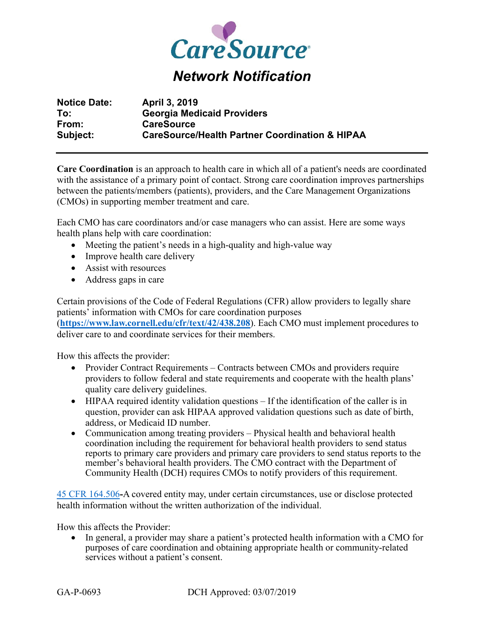

## *Network Notification*

| <b>Notice Date:</b> | <b>April 3, 2019</b>                                      |
|---------------------|-----------------------------------------------------------|
| To:                 | <b>Georgia Medicaid Providers</b>                         |
| From:               | <b>CareSource</b>                                         |
| Subject:            | <b>CareSource/Health Partner Coordination &amp; HIPAA</b> |

**Care Coordination** is an approach to health care in which all of a patient's needs are coordinated with the assistance of a primary point of contact. Strong care coordination improves partnerships between the patients/members (patients), providers, and the Care Management Organizations (CMOs) in supporting member treatment and care.

Each CMO has care coordinators and/or case managers who can assist. Here are some ways health plans help with care coordination:

- Meeting the patient's needs in a high-quality and high-value way
- Improve health care delivery
- Assist with resources
- Address gaps in care

Certain provisions of the Code of Federal Regulations (CFR) allow providers to legally share patients' information with CMOs for care coordination purposes (**https://www.law.cornell.edu/cfr/text/42/438.208**). Each CMO must implement procedures to deliver care to and coordinate services for their members.

How this affects the provider:

- Provider Contract Requirements Contracts between CMOs and providers require providers to follow federal and state requirements and cooperate with the health plans' quality care delivery guidelines.
- HIPAA required identity validation questions If the identification of the caller is in question, provider can ask HIPAA approved validation questions such as date of birth, address, or Medicaid ID number.
- Communication among treating providers Physical health and behavioral health coordination including the requirement for behavioral health providers to send status reports to primary care providers and primary care providers to send status reports to the member's behavioral health providers. The CMO contract with the Department of Community Health (DCH) requires CMOs to notify providers of this requirement.

45 CFR 164.506**-**A covered entity may, under certain circumstances, use or disclose protected health information without the written authorization of the individual.

How this affects the Provider:

• In general, a provider may share a patient's protected health information with a CMO for purposes of care coordination and obtaining appropriate health or community-related services without a patient's consent.